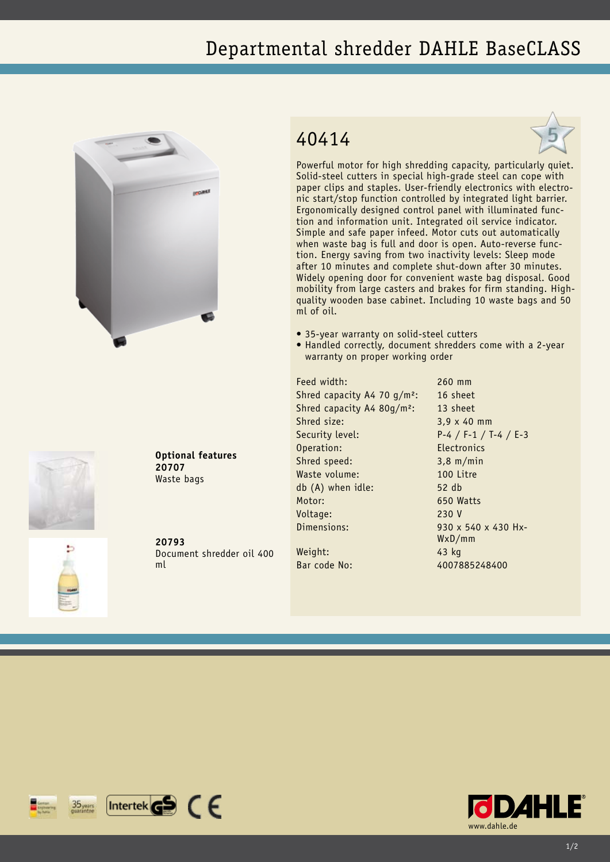## Departmental shredder DAHLE BaseCLASS





**Optional features 20707** Waste bags

**20793** Document shredder oil 400 ml

## 40414



Powerful motor for high shredding capacity, particularly quiet. Solid-steel cutters in special high-grade steel can cope with paper clips and staples. User-friendly electronics with electronic start/stop function controlled by integrated light barrier. Ergonomically designed control panel with illuminated function and information unit. Integrated oil service indicator. Simple and safe paper infeed. Motor cuts out automatically when waste bag is full and door is open. Auto-reverse function. Energy saving from two inactivity levels: Sleep mode after 10 minutes and complete shut-down after 30 minutes. Widely opening door for convenient waste bag disposal. Good mobility from large casters and brakes for firm standing. Highquality wooden base cabinet. Including 10 waste bags and 50 ml of oil.

- 35-year warranty on solid-steel cutters
- Handled correctly, document shredders come with a 2-year warranty on proper working order

Feed width: 260 mm Shred capacity A4 70 g/m<sup>2</sup>: 16 sheet Shred capacity A4 80g/m<sup>2</sup>: 13 sheet Shred size: 3,9 x 40 mm Security level: P-4 / F-1 / T-4 / E-3 Operation: Electronics Shred speed: 3,8 m/min Waste volume: 100 Litre db (A) when idle: 52 db Motor: 650 Watts Voltage: 230 V Dimensions: 930 x 540 x 430 Hx-

Weight: 43 kg

WxD/mm Bar code No: 4007885248400